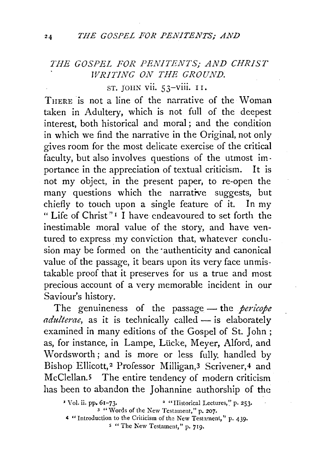## *THE GOSPEL FOR PENITENTS; AND CHRIST WRITING ON THE GROUND.*

ST. JOHN vii. 53-viii. I I.

TnERE is not a line of the narrative of the Woman taken in Adultery, which is not full of the deepest interest, both historical and moral ; and the condition in which we find the narrative in the Original, not only gives room for the most delicate exercise of the critical faculty, but also involves questions of the utmost importance in the appreciation of textual criticism. It is not my object, in the present paper, to re-open the many questions which the narrative suggests, but chiefly to touch upon a single feature of it. In my " Life of Christ" 1 I have endeavoured to set forth the inestimable moral value of the story, and have ventured to express my conviction that, whatever conclusion may be formed on the authenticity and canonical value of the passage, it bears upon its very face unmistakable proof that it preserves for us a true and most precious account of a very memorable incident in our Saviour's history.

The genuineness of the passage — the *pericope adulterae*, as it is technically called - is elaborately examined in many editions of the Gospel of St. John ; as, for instance, in Lampe, Lücke, Meyer, Alford, and Wordsworth ; and is more or less fully. handled by Bishop Ellicott,<sup>2</sup> Professor Milligan,<sup>3</sup> Scrivener,<sup>4</sup> and McClellan.5 The entire tendency of modern criticism has been to abandon the Johannine authorship of the

<sup>&#</sup>x27;Vol. ii. PP• 61-73. • "Historical Lectures,'.' p. 253. 3 "Words of the New Testament," p. 207.

<sup>~</sup>"Introduction to the Criticism of the New Testament," p. 439.

*s* "The New Testament," p. 719.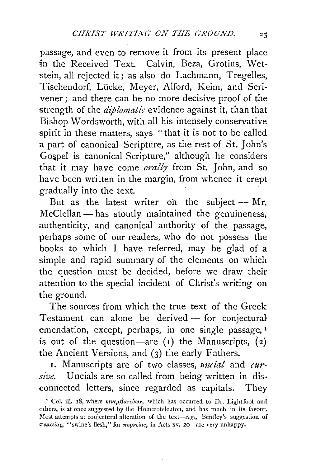passage, and even to remove it from its present place in the Received Text. Calvin, Beza, Grotius, Wet stein, all rejected it; as also do Lachmann, Tregelles, Tischendorf, Lücke, Meyer, Alford, Keim, and Scrivener; and there can be no more decisive proof of the strength of the *diplomatic* evidence against it, than that Bishop Wordsworth, with all his intensely conservative spirit in these matters, says "that it is not to be called a part of canonical Scripture, as the rest of St. John's Gospel is canonical Scripture," although he considers that it may have come *orally* from St. John, and so have been written in the margin, from whence it crept gradually into the text.

But as the latest writer on the subject  $-$  Mr.  $McC$ lellan  $-$  has stoutly maintained the genuineness, authenticity, and canonical authority of the passage, perhaps some of our readers, who do not possess the books to which I have referred, may be glad of a simple and rapid summary of the elements on which the question must be decided, before we draw their attention to the special incident of Christ's writing on the ground.

The sources from which the true text of the Greek Testament can alone be derived  $-$  for conjectural emendation, except, perhaps, in one single passage, I is out of the question-are  $(1)$  the Manuscripts,  $(2)$ the Ancient Versions, and (3) the early Fathers.

1. Manuscripts are of two classes, *uncial* and *cursive.* Uncials are so called from being written in disconnected letters, since regarded as capitals. They

<sup>&</sup>lt;sup>I</sup> Col. iii. 18, where  $\kappa \nu \epsilon \mu \beta a \tau \epsilon \psi \omega \nu$ , which has occurred to Dr. Lightfoot and others, is at once suggested by the Homceoteleuton, and has much in its favour. Most attempts at conjectural alteration of the text-e.g., Bentley's suggestion of *wo.o.,.tai;,* "swine's flesh," for *7ropveiar;,* in Acts xv. 20-are very unhappy.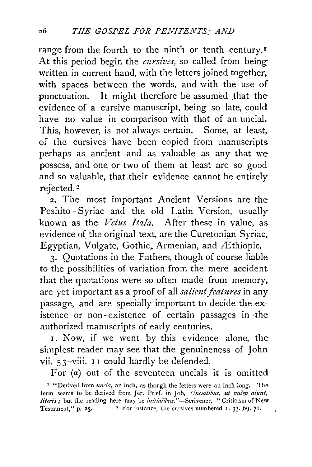range from the fourth to the ninth or tenth century.<sup>1</sup> At this period begin the *cursives*, so called from being written in current hand, with the letters joined together, with spaces between the words, and with the use of punctuation. It might therefore be assumed that the evidence of a cursive manuscript, being so late, could have no value in comparison with that of an uncial. This, however, is not always certain. Some, at least, of the cursives have been copied from manuscripts perhaps as ancient and as valuable as any that we possess, and one or two of them at least are so good and so valuable, that their evidence cannot be entirely rejected. 2

2. The most important Ancient Versions are the Peshito - Syriac and the old Latin Version, usually known as the *Vetus Itala.* After these in value, as evidence of the original text, are the Curetonian Syriac, Egyptian, Vulgate, Gothic, Armenian, and Æthiopic.

3. Quotations in the Fathers, though of course liable to the possibilities of variation from the mere accident that the quotations were so often made from memory, are yet important as a proof of all *salient features* in any passage, and are specially important to decide the existence or non- existence of certain passages in ·the authorized manuscripts of early centuries.

1. Now, if we went by this evidence alone, the simplest reader may see that the genuineness of John vii.  $53$ -viii. 11 could hardly be defended.

For (a) out of the seventeen uncials it is omitted

' "Derived from *uncia,* an inch, as though the letters were an inch long. The term seems to be derived from Jer. Præf. in Job, Uncialibus, ut vulgo aiunt, *literis*; but the reading here may be *initialibus."*-Scrivener, "Criticism of New Testament," p. 25. <sup>•</sup> For instance, the cursives numbered 1. 33. 69. 71.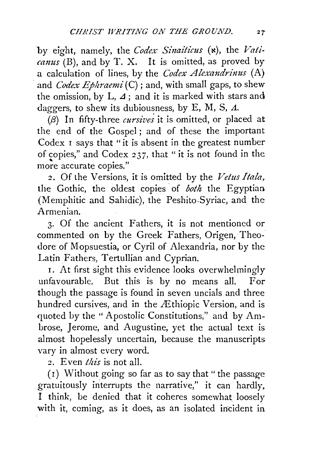by eight, namely, the *Codex Sinaiticus* (x), the *Vaticanus* (B), and by T. X. It is omitted, as proved by a calculation of lines, by the *Codex Alexandrinus* (A) and *Codex Ephraemi* (C); and, with small gaps, to shew the omission, by L,  $\Delta$ ; and it is marked with stars and daggers, to shew its dubiousness, by E, M, S,  $\Lambda$ .

 $(6)$  In fifty-three *cursives* it is omitted, or placed at the end of the Gospel ; and of these the important Codex 1 says that "it is absent in the greatest number of copies," and Codex 237, that " it is not found in the more accurate copies."

2. Of the Versions, it is omitted by the *Vetus Itala,*  the Gothic, the oldest copies of *both* the Egyptian (Memphitic and Sahidic), the Peshito-Syriac, and the Armenian.

3. Of the ancient Fathers, it is not mentioned or commented on by the Greek Fathers, Origen, Theodore of Mopsuestia, or Cyril of Alexandria, nor by the Latin Fathers, Tertullian and Cyprian.

1. At first sight this evidence looks overwhelmingly unfavourable. But this is by no means all. For though the passage is found in seven uncials and three hundred cursives, and in the  $\pm$ thiopic Version, and is quoted by the "Apostolic Constitutions," and by Ambrose, Jerome, and Augustine, yet the actual text is almost hopelessly uncertain, because the manuscripts vary in almost every word.

2. Even *this* is not all.

( 1) Without going so far as to say that "the passage gratuitously interrupts the narrative," it can hardly, I think, be denied that it coheres somewhat loosely with it, coming, as it does, as an isolated incident in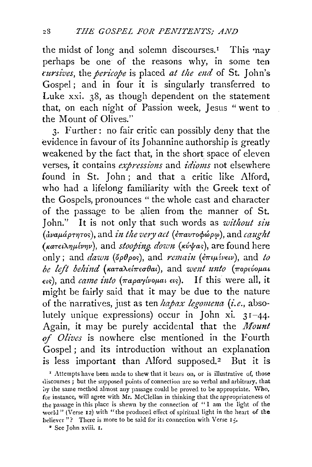the midst of long and solemn discourses.<sup>1</sup> This  $may$ perhaps be one of the reasons why, in some ten *cursives, the pericope* is placed *at the end* of St. John's Gospel; and in four it is singularly transferred to Luke xxi. 38, as though dependent on the statement that, on each night of Passion week, Jesus " went to the Mount of Olives."

3. Further: no fair critic can possibly deny that the evidence in favour of its Johannine authorship is greatly weakened by the fact that, in the short space of eleven verses, it contains *expressions* and *idioms* not elsewhere found in St. John; and that a critic like Alford, who had a lifelong familiarity with the Greek text of the Gospels, pronounces " the whole cast and character of the passage to be alien from the manner of St. John." It is not only that such words as *without sin*  ( *avaµapn7Tor;* ), and *£n the very act* ( l1ravTO</Jwp~v ), and *caug-ht (tcaTE£AilJµlvrw),* and *stooping. down (tcv'frar;),* are found here only; and *dawn* (όρθρος), and *remain* (επιμένειν), and *to be left behind (tcaTaXel7rea-Oai),* and *went unto (7ropcvoµai*  et<>), and *came £nto (7raparylvoµai* Etr;). If this were all, it might be fairly said that it may be due to the nature of the narratives, just as ten *hapax legomena (i.e.*, absolutely unique expressions) occur in John xi.  $31-44$ . Again, it may be purely accidental that the *Mount of Olives* is nowhere else mentioned in the Fourth Gospel ; and its introduction without an explanation is less important than Alford supposed.<sup>2</sup> But it is

<sup>&</sup>lt;sup>1</sup> Attempts have been made to shew that it bears on, or is illustrative of, those discourses ; but the supposed points of connection are so verbal and arbitrary, that by the same method almost any passage could be proved to be appropriate. Who, for instance, will agree with Mr. McClellan in thinking that the appropriateness of the passage in this place is shewn by the connection of " I am the light of the world " (Verse  $12$ ) with "the produced effect of spiritual light in the heart of the believer"? There is more to be said for its connection with Verse 15.

<sup>•</sup> See John xviii. I.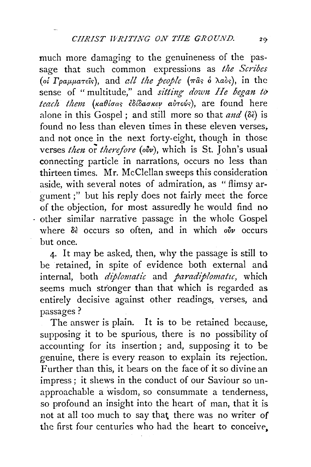much more damaging to the genuineness of the passage that such common expressions as *the Scribes*  (oi Γραμματεΐς), and *all the people* (πας ο λαός), in the sense of " multitude," and *sitting down He began to* teach them (καθίσας έδίδασκεν αύτούς), are found here alone in this Gospel ; and still more so that *and* (8€) is found no less than eleven times in these eleven verses, and not once in the next forty-eight, though in those verses *then* or *therefore* (ov<sup>*v*</sup>), which is St. John's usual connecting particle in narrations, occurs no less than thirteen times. Mr. McClellan sweeps this consideration aside, with several notes of admiration, as " flimsy argument;" but his reply does not fairly meet the force of the objection, for most assuredly he would find no other similar narrative passage in the whole Gospel where δε occurs so often, and in which *ούν* occurs but once.

4. It may be asked, then, why the passage is still to be retained, in spite of evidence both external and internal, both *diplomatic* and *paradiplomatzc,* which seems much stronger than that which is regarded as entirely decisive against other readings, verses, and passages?

The answer is plain. It is to be retained because, supposing it to be spurious, there is no possibility of accounting for its insertion; and, supposing it to be genuine, there is every reason to explain its rejection. Further than this, it bears on the face of it so divine an impress ; it shews in the conduct of our Saviour so unapproachable a wisdom, so consummate a tenderness, so profound an insight into the heart of man, that it is not at all too much to say that there was no writer of the first four centuries who had the heart to conceive,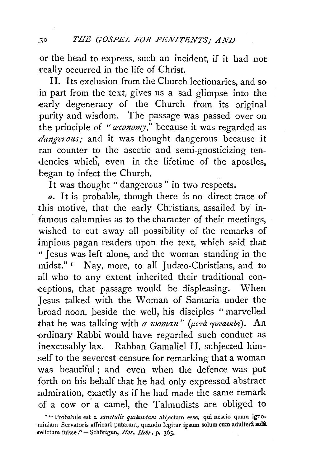or the head to express, such an incident, if it had not really occurred in the life of Christ.

II. Its exclusion from the Church lectionaries, and so in part from the text, gives us a sad glimpse into the early degeneracy of the Church from its original purity and wisdom. The passage was passed over on the principle of *"a:conomy,"* because it was regarded as *dangerous;* and it was thought dangerous because it ran counter to the ascetic and semi-gnosticizing ten dencies which, even in the lifetime of the apostles, began to infect the Church.

It was thought "dangerous" in two respects.

*a.* It is probable, though there is no direct trace of this motive, that the early Christians, assailed by infamous calumnies as to the character of their meetings, wished to cut away all possibility of the remarks of impious pagan readers upon the text, which said that " Jesus was left alone, and the woman standing in the midst." I Nay, more, to all Judæo-Christians, and to all who to any extent inherited their traditional conceptions, that passage would be displeasing. When Jesus talked with the Woman of Samaria under the broad noon, beside the well, his disciples " marvelled that he was talking with *a woman*" (μετά γυναικός). An ordinary Rabbi would have regarded such conduct as inexcusably lax. Rabban Gamaliel II. subjected him-.self to the severest censure for remarking that a woman was beautiful ; and even when the defence was put forth on his behalf that he had only expressed abstract .admiration, exactly as if he had made the same remark of a cow or. a camel, the Talmudists are obliged to

<sup>&</sup>lt;sup>1</sup> " Probabile est a *sanctulis quibusdam* abjectam esse, qui nescio quam ignominiam Servatoris affricari putarunt, quando legitur ipsum solum cum adulterâ solâ :relictun1 fuisse."-Schottgen, *Hor. Hebr.* p. 365.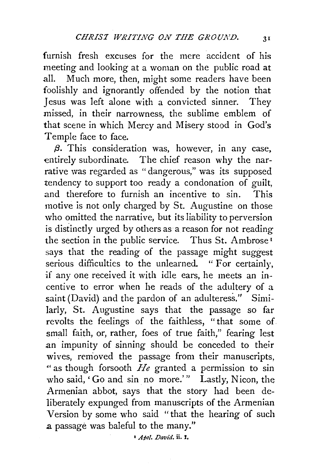furnish fresh excuses for the mere accident of his meeting and looking at a woman on the public road at all. Much more, then, might some readers have been foolishly and ignorantly offended by the notion that Jesus was left alone with a convicted sinner. They missed, in their narrowness, the sublime emblem of that scene in which Mercy and Misery stood in God's Temple face to face.

*/3.* This consideration was, however, in any case, entirely subordinate. The chief reason why the narrative was regarded as "dangerous," was its supposed tendency to support too ready a condonation of guilt, and therefore to furnish an incentive to sin. This motive is not only charged by St. Augustine on those who omitted the narrative, but its liability to perversion is distinctly urged by others as a reason for not reading the section in the public service. Thus St. Ambrose <sup>1</sup> says that the reading of the passage might suggest serious difficulties to the unlearned. " For certainly, if any one received it with idle ears, he meets an incentive to error when he reads of the adultery of a saint (David) and the pardon of an adulteress." Similarly, St. Augustine says that the passage so far revolts the feelings of the faithless, "that some of small faith, or, rather, foes of true faith," fearing lest an impunity of sinning should be conceded to their wives, removed the passage from their manuscripts, " as though forsooth *He* granted a permission to sin who said, 'Go and sin no more.'" Lastly, Nicon, the Armenian abbot, says that the story had been deliberately expunged from manuscripts of the Armenian Version by some who said "that the hearing of such a passage was baleful to the many."

<sup>I</sup>A~ol. *Davt'd.* ii. r.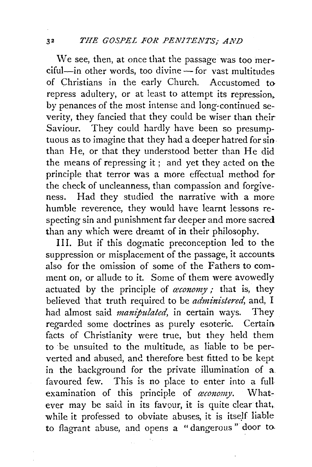We see, then, at once that the passage was too mer $c$ iful—in other words, too divine — for vast multitudes of Christians in the early Church. Accustomed torepress adultery, or at least to attempt its repression, by penances of the most intense and long-continued severity, they fancied that they could be wiser than their-Saviour. They could hardly have been so presumptuous as to imagine that they had a deeper hatred for sinthan He, or that they understood better than He did the means of repressing it ; and yet they acted on the principle that terror was a more effectual method for the check of uncleanness, than compassion and forgiveness. Had they studied the narrative with a more humble reverence, they would have learnt lessons respecting sin and punishment far deeper and more sacred than any which were dreamt of in their philosophy.

III. But if this dogmatic preconception led to the suppression or misplacement of the passage, it accounts. also for the omission of some of the Fathers to comment on, or allude to it. Some of them were avowedly actuated by the principle of *oxionomy*; that is, they believed that truth required to be *administered,* and, I had almost said *manipulated,* in certain ways. They regarded some doctrines as purely esoteric. Certain. facts of Christianity were true, but they held them to be unsuited to the multitude, as liable to be perverted and abused, and therefore best fitted to be kept. in the background for the private illumination of a. favoured few. This is no place to enter into a full examination of this principle of *œconomy*. Whatever may be said in its favour, it is quite clear that, while it professed to obviate abuses, it is itself liable to flagrant abuse, and opens a "dangerous " door to.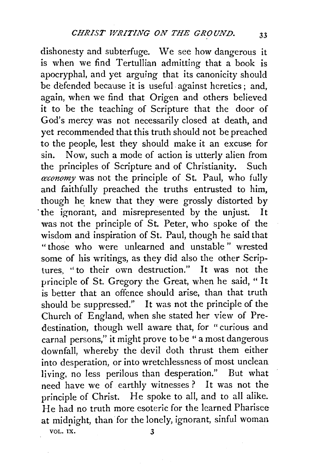dishonesty and subterfuge. We see how dangerous it is when we find Tertullian admitting that a book is apocryphal, and yet arguing that its canonicity should be defended because it is useful. against heretics ; and, again, when we find that Origen and others believed it to be the teaching of Scripture that the door of God's mercy was not necessarily closed at death, and yet recommended that this truth should not be preached to the people, lest they should make it an excuse for sin. Now, such a mode of action is utterly alien from the principles of Scripture and of Christianity. Such *ceconomy* was not the principle of St. Paul, who fully and faithfully preached the truths entrusted to him, though he knew that they were grossly distorted by ·the ignorant, and misrepresented by the unjust. It was not the principle of St. Peter, who spoke of the wisdom and inspiration of St. Paul, though he said that "those who were unlearned and unstable " wrested some of his writings, as they did also the other Scriptures, "to their own destruction." It was not the principle of St. Gregory the Great, when he said, "It is better that an offence should arise, than that truth should be suppressed." It was not the principle of the Church of England, when she stated her view of Predestination, though well aware that, for "curious and carnal persons," it might prove to be " a most dangerous downfall, whereby the devil doth thrust them either into desperation, or into wretchlessness of most unclean living, no less perilous than desperation." But what need have we of earthly witnesses? It was not the principle of Christ. He spoke to all, and to all alike. He had no truth more esoteric for the learned Pharisee at midnight, than for the lonely, ignorant, sinful woman VOL. IX.  $\qquad \qquad 3$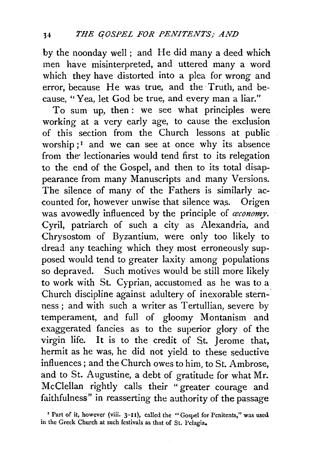by the noonday well; and He did many a deed which men have misinterpreted, and uttered many a word which they have distorted into a plea for wrong and error, because He was true, and the Truth, and because, "Yea, let God be true, and every man a liar."

To sum up, then: we see what principles were working at a very early age, to cause the exclusion of this section from the Church lessons at public worship; $1$  and we can see at once why its absence from the lectionaries would tend first to its relegation to the end of the Gospel, and then to its total disappearance from many Manuscripts and many Versions. The silence of many of the Fathers is similarly accounted for, however unwise that silence was. Origen was avowedly influenced by the principle of *œconomy*. Cyril, patriarch of such a city as Alexandria, and Chrysostom of Byzantium, were only too likely to dread any teaching which they most erroneously supposed would tend to greater laxity among populations so depraved. Such motives would be still more likely to work with St. Cyprian, accustomed as he was to a Church discipline against adultery of inexorable sternness ; and with such a writer as Tertullian, severe by temperament, and full of gloomy Montanism and exaggerated fancies as to the superior glory of the virgin life. It is to the credit of St. Jerome that, hermit as he was, he did not yield to these seductive influences; and the Church owes to him, to St. Ambrose, and to St. Augustine, a debt of gratitude for what Mr. McClellan rightly calls their "greater courage and faithfulness" in reasserting the authority of the passage

<sup>&#</sup>x27; Part of it, however (viii. 3-11), called the "Gospel for Penitents," was used in the Greek Church at such festivals as that of St. Pelagia.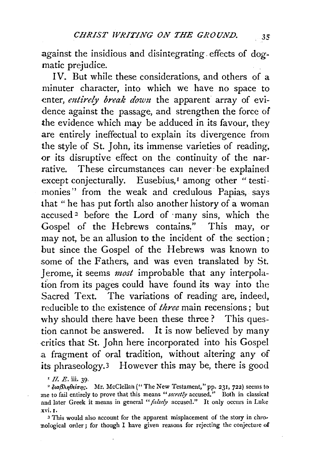.against the insidious and disintegrating. effects of dogmatic prejudice.

IV. But while these considerations, and others of a minuter character, into which we have no space to enter, *entirely break down* the apparent array of evidence against the passage, and strengthen the force of the evidence which may be adduced in its favour, they are entirely ineffectual to explain its divergence from the style of St. John, its immense varieties of reading, or its disruptive effect on the continuity of the narrative. These circumstances can never· be explained except conjecturally. Eusebius,<sup>1</sup> among other "testimonies'' from the weak and credulous Papias, says that " he has put forth also another history of a woman accused 2 before the Lord of ·many sins, which the Gospel of the Hebrews contains." This may, or may not, be an allusion to the incident of the section ; but since the Gospel of the Hebrews was known to some of the Fathers, and was even translated by St. Jerome, it seems *most* improbable that any interpolation from its pages could have found its way into the Sacred Text. The variations of reading are, indeed, reducible to the existence of *three* main recensions; but why should there have been these three? This question cannot be answered. It is now believed by many critics that St. John here incorporated into his Gospel a fragment of oral tradition, without altering any of its phraseology.3 However this may be, there is good

<sup>1</sup> *II. E.* iii. 39.<br><sup>2</sup> διαβληθείσης. Mr. McClellan ("The New Testament," pp. 231, 722) seems to :me to fail entirely to prove that this means *"secretly* accused." Both in classical and later Greek it means in general "*falsely* accused." It only occurs in Luke .xvi. r.

3 This would also account for the apparent misplacement of the story in chronological order; for though I have given reasons for rejecting the conjecture of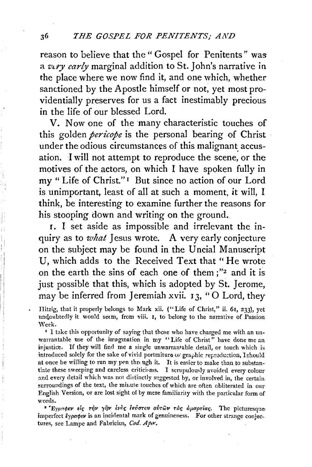reason to believe that the" Gospel for Penitents" was a very early marginal addition to St. John's narrative in the place where we now find it, and one which, whether sanctioned by the Apostle himself or not, yet most providentially preserves for us a fact inestimably precious in the life of our blessed Lord.

V. Now one of the many characteristic touches of this golden *pericope* is the personal bearing of Christ under the odious circumstances of this malignant accusation. I will not attempt to reproduce the scene, or the motives of the actors, on which I have spoken fully in my "Life of Christ." 1 But since no action of our Lord is unimportant, least of all at such a moment, it will, I think, be interesting to examine further the reasons for his stooping down and writing on the ground.

I. I set aside as impossible and irrelevant the inquiry as to *what* Jesus wrote. A very early conjecture on the subject may be found in the Uncial Manuscript U, which adds to the Received Text that" He wrote on the earth the sins of each one of them ;"2 and it is just possible that this, which is adopted by St. Jerome, may be inferred from Jeremiah xvii.  $13$ , "O Lord, they

Hitzig, that it properly belongs to Mark xii. ("Life of Christ," ii. 6r, 233), yet undoubtedly it would seem, from viii. I, to belong to the narrative of Passion \Veek.

' I take this opportunity of saying that those who have charged me with an unwarrantable use of the imagination in my "Life of Christ" have done me an injustice. If they will find me a single unwarrantable detail, or touch which is introduced solely for the sake of vivid portraiture or graphic reproduction, I should at once be willing to run my pen through it. It is easier to make than to substantiate these sweeping and careless criticisms. I scrupulously avoided every colour and every detail which was not distinctly suggested by, or involved in, the certain surroundings of the text, the minute touches of which are often obliterated in our English Version, or are lost sight of by mere familiarity with the particular form of words.

<sup>2</sup> Έγραφεν είς την γην ενός εκόστου αύτων τάς αμαρτίας. The picturesque imperfect  $\ell$ ypa¢ev is an incidental mark of genuineness. For other strange conjectures, see Lampe and Fabricius, Cod. Apx.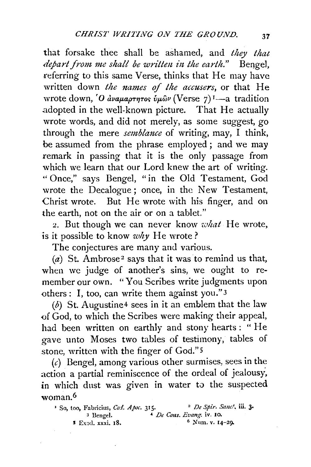that forsake thee shall be ashamed, and *they that depart from me shall be written in the earth."* Bengel, referring to this same Verse, thinks that He may have written down *the names of the accusers,* or that He wrote down, 'O ava $\mu$ aptyros  $\hat{v}\mu\hat{\omega}\nu$  (Verse 7)<sup>1</sup>—a tradition adopted in the well-known picture. That He actually wrote words, and did not merely, as some suggest, go through the mere *semblance* of writing, may, I think, be assumed from the phrase employed ; and we may remark in passing that it is the only passage from which we learn that our Lord knew the art of writing. "Once," says Bengel, "in the Old Testament, God wrote the Decalogue; once, in the New Testament, Christ wrote. But He wrote with his finger, and on the earth, not on the air or on a tablet."

2. But though we can never know *what* He wrote, is it possible to know *why* He wrote?

The conjectures are many and various.

(a) St. Ambrose<sup>2</sup> says that it was to remind us that, when we judge of another's sins, we ought to remember our own. "You Scribes write judgments upon others: I, too, can write them against you." 3

(b) St. Augustine<sup>4</sup> sees in it an emblem that the law of God, to which the Scribes were making their appeal, had been written on earthly and stony hearts: " He gave unto Moses two tables of testimony, tables of stone, written with the finger of God." 5

 $(c)$  Bengel, among various other surmises, sees in the action a partial reminiscence of the ordeal of jealousy, in which dust was given in water to the suspected woman.6

| <sup>1</sup> So, too, Fabricius, Cod. Apoc. 315. | <sup>2</sup> De Spir. Sanc', iii. 3. |
|--------------------------------------------------|--------------------------------------|
| <sup>3</sup> Bengel.                             | $\triangle$ De Cons. Evang iv. 10.   |
| <b>5</b> Exod. xxxi, 18.                         | $^6$ Num. v. 14-29.                  |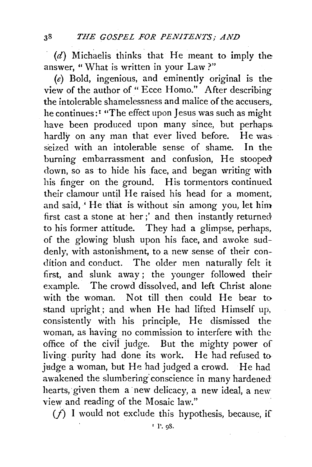(d) Michaelis thinks that He meant to imply the answer, "What is written in your Law?"

(e) Bold, ingenious, and eminently original is the view of the author of "Ecce Homo." After describing the intolerable shamelessness and malice of the accusers,. he continues:<sup>1</sup> "The effect upon Jesus was such as might have been produced upon many since, but perhaps. hardly on any man that ever lived before. He was seized with an intolerable sense of shame. In the burning embarrassment and confusion, He stooped' down, so as to hide his face, and began writing with his finger on the ground. His tormentors continued their clamour until He raised his head for a moment, and said, 'He that is without sin among you, let him first cast a stone at her;' and then instantly returned to his former attitude. They had a glimpse, perhaps, of the glowing blush upon his face, and awoke suddenly, with astonishment, to a new sense of their condition and conduct. The older men naturally felt it first, and slunk away ; the younger followed their example. The crowd dissolved, and left Christ alone with the woman. Not till then could He bear to stand upright; and when He had lifted Himself up, consistently with his principle, He dismissed the woman, as having no commission to interfere with the office of the civil judge. But the mighty power of living purity had done its work. He had refused to judge a woman, but He had judged a crowd. He had awakened the slumbering conscience in many hardened hearts, given them a new delicacy, a new ideal, a new view and reading of the Mosaic law."

 $(f)$  I would not exclude this hypothesis, because, if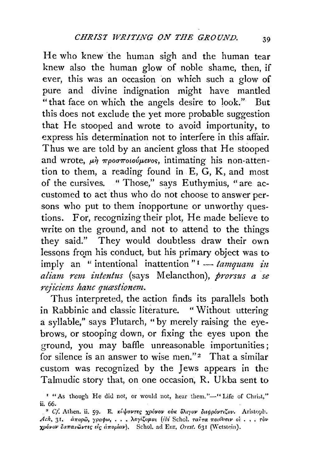He who knew the human sigh and the human tear knew also the human glow of noble shame, then, if ever, this was an occasion on which such a glow of pure and divine indignation might have mantled "that face on which the angels desire to look." But this does not exclude the yet more probable suggestion that He stooped and wrote to avoid importunity, to express his determination not to interfere in this affair. Thus we are told by an ancient gloss that He stooped and wrote,  $\mu \dot{\eta}$  *προσποιούμενος*, intimating his non-attention to them, a reading found in E, G, K, and most of the cursives. " Those," says Euthymius, "are accustomed to act thus who do not choose to answer persons who put to them inopportune or unworthy questions. For, recognizing their plot, He made believe to write on the ground, and not to attend to the things they said." They would doubtless draw their own lessons from his conduct, but his primary object was to imply an "intentional inattention"<sup>1</sup> - *tamquam in* aliam rem intentus (says Melancthon), prorsus a se *rejiciens hanc quastionem.* 

Thus interpreted, the action finds its parallels both in Rabbinic and classic literature. " Without uttering a syllable," says Plutarch, "by merely raising the eyebrows, or stooping down, or fixing the eyes upon the ground, you may baffle unreasonable importunities; for silence is an answer to wise men." $2$  That a similar custom was recognized by the Jews appears in the Talmudic story that, on one occasion, R. Ukba sent to

<sup>&</sup>lt;sup>1</sup> "As though He did not, or would not, hear them."-" Life of Christ," ii. 66.

<sup>&</sup>lt;sup>2</sup> Cf. Athen. ii. 59. E. Keyavres xpóvov ovk <sup>5</sup>λιγον διεφρόντιζον. Aristoph. *Ach*, 31. *άπορω, γραφω,... λογίζομαι (ibi Schol. ταϊτα ποι<sup>5</sup>υσιν οί... τον xpóvov δαπανώντες είς άπορίαν*). Schol. ad Eur, *Orest.* 631 (Wetstein).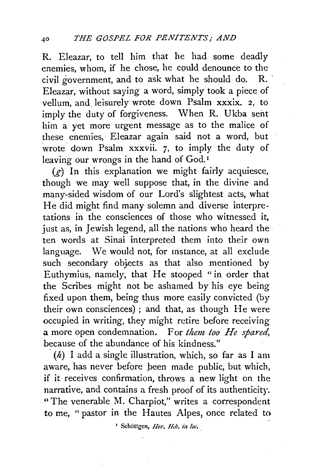R. Eleazar, to tell him that he had some deadly enemies, w horn, if he chose, he could denounce to the civil government, and to ask what he should do. R. Eleazar, without saying a word, simply took a piece of vellum, and. leisurely wrote down Psalm xxxix. 2, to imply the duty of forgiveness. When R. Ukba sent him a yet more urgent message as to the malice of these enemies, Eleazar again said not a word, but wrote down Psalm xxxvii. 7, to imply the duty of leaving our wrongs in the hand of God.<sup>1</sup>

 $(g)$  In this explanation we might fairly acquiesce, though we may well suppose that, in the divine and many-sided wisdom of our Lord's slightest acts, what He did might find many solemn and diverse interpretations in the consciences of those who witnessed it, just as, in Jewish legend, all the nations who heard the ten words at Sinai interpreted them into their own language. We would not, for instance, at all exclude such secondary objects as that also mentioned by Euthymius, namely, that He stooped "in order that the Scribes might not be ashamed by his eye being fixed upon them, being thus more easily convicted (by their own consciences) ; and that, as though He were occupied in writing, they might retire before receiving a more open condemnation. For *them too He spared,*  because of the abundance of his kindness."

 $(h)$  I add a single illustration, which, so far as I am aware, has never before been made public, but which, if it receives confirmation, throws a new light on the narrative, and contains a fresh proof of its authenticity.<br>"The venerable M. Charpiot," writes a correspondent to me, " pastor in the Hautes Alpes, once related to

<sup>1</sup> Schöttgen, *Hor. Heb. in loc.*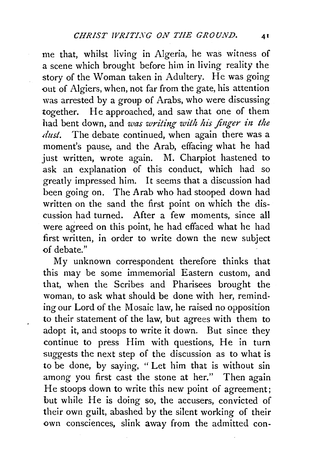me that, whilst living in Algeria, he was witness of a scene which brought before him in living reality the story of the Woman taken in Adultery. He was going out of Algiers, when, not far from the gate, his attention was arrested by a group of Arabs, who were discussing together. He approached, and saw that one of them 11ad bent down, and *was writing with his finger in the dust.* The debate continued, when again there was a moment's pause, and the Arab, effacing what he had just written, wrote again. M. Charpiot hastened to ask an explanation of this conduct, which had so greatly impressed him. It seems that a discussion had been going on. The Arab who had stooped down had written on the sand the first point on which the discussion had turned. After a few moments, since all were agreed on this point, he had effaced what he had first written, in order to write down the new subject of debate."

My unknown correspondent therefore thinks that this may be some immemorial Eastern custom, and that, when the Scribes and Pharisees brought the woman, to ask what should be done with her, reminding our Lord of the Mosaic law, he raised no opposition to their statement of the law, but agrees with them to adopt it, and stoops to write it down. But since they continue to press Him with questions, He in turn suggests the next step of the discussion as to what is to be done, by saying, " Let him that is without sin among you first cast the stone at her." Then again He stoops down to write this new point of agreement; but while He is doing so, the accusers, convicted of their own guilt, abashed by the silent working of their own consciences, slink away from the admitted con